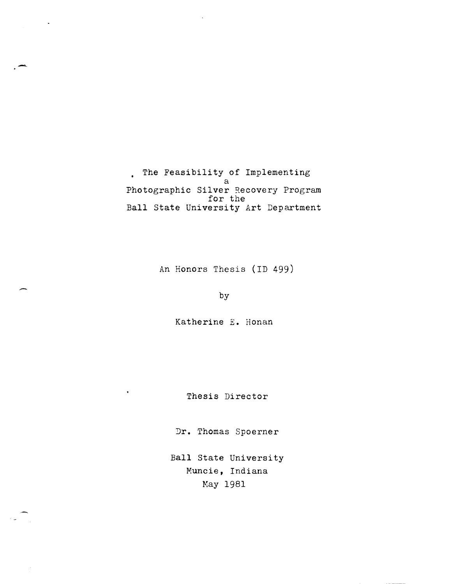• The Feasibility of Implementing a Photographic Silver Recovery Program<br>for the Ball State University Art Department

-

-

An Honors Thesis (ID 499)

by

Katherine E. Honan

Thesis Director

Dr. Thomas Spoerner

Ball State University Muncie, Indiana May 1981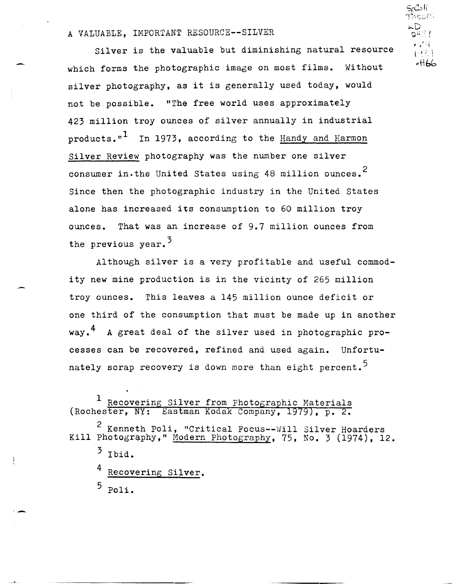# A VALUABLE, IMPORTANT RESOURCE--SILVER

Silver is the valuable but diminishing natural resource which forms the photographic image on most films. Without silver photography, as it is generally used today, would not be possible. "The free world uses approximately 423 million troy ounces of silver annually in industrial products."<sup> $\pm$ </sup> In 1973, according to the Handy and Harmon Silver Review photography was the number one silver consumer in.the United States using 48 million ounces.<sup>2</sup> Since then the photographic industry in the United States alone has increased its consumption to 60 million troy ounces. That was an increase of 9.7 million ounces from the previous year.<sup>3</sup>

Although silver is a very profitable and useful commodity new mine production is in the vicinty of 265 million troy ounces. This leaves a 145 million ounce deficit or one third of the consumption that must be made up in another way.<sup>4</sup> A great deal of the silver used in photographic processes can be recovered, refined and used again. Unfortunately scrap recovery is down more than eight percent.<sup>5</sup>

<sup>1</sup> Recovering Silver from Photographic Materials<br>ester, NY: Eastman Kodak Company, 1979), p. 2. (Rochester, NY:

 $2$  Kenneth Poli, "Critical Focus--Will Silver Hoarders Kill Photography," Modern Photography, 75, No. 3 (1974), 12.

Recovering Silver.

 $5$  Poli.

**'-**

 $S_{\ell}$ C $\circ$ li  $\Gamma$ nesi $\Omega$ ~D ລ $^{\mu\odot\gamma}$ J ' I • . 1  $1 \pm 2$  ) "ttb(;:.

 $3$  Ibid.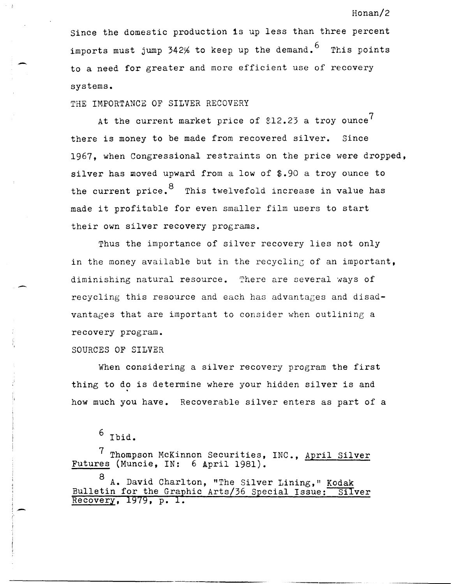Since the domestic production is up less than three percent imports must jump  $342\%$  to keep up the demand.  $^6$  This points to a need for greater and more efficient use of recovery systems.

THE IMPORTANCE OF SILVER RECOVERY

-

 $\mathbf{A}$ 

At the current market price of  $$12.23$  a troy ounce<sup>7</sup> there is money to be made from recovered silver. Since 1967, when Congressional restraints on the price were dropped, silver has moved upward from a low of \$.90 a troy ounce to the current price.  $8\degree$  This twelvefold increase in value has made it profitable for even smaller film users to start their own silver recovery programs.

Thus the importance of silver recovery lies not only in the money available but in the recycling of an important, diminishing natural resource. There are several ways of recycling this resource and each has advantages and disadvantages that are important to consider when outlining a recovery program.

SOURCES OF SILVER

When considering a silver recovery program the first thing to do is determine where your hidden silver is and how much you have. Recoverable silver enters as part of a

7 Thompson McKinnon Securities, INC., April Silver Futures (Muncie, IN: 6 April 1981).

A. David Charlton, "The Silver Lining," Kodak Bulletin for the Graphic Arts/36 Special Issue: Silver Recovery, 1979, p. **1.** 

# Honan/2

 $^6$  Ibid.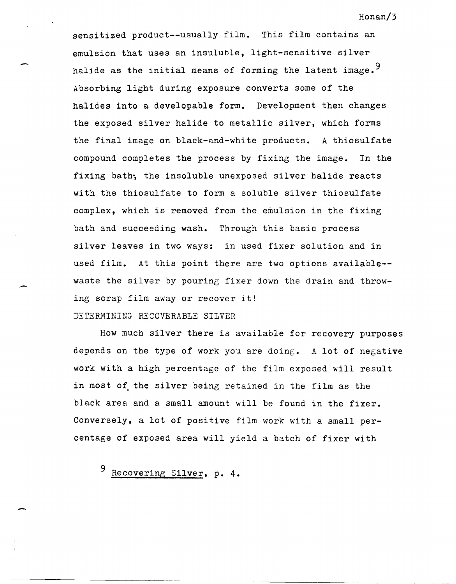sensitized product--usually film. This film contains an emulsion that uses an insuluble, light-sensitive silver halide as the initial means of forming the latent image.<sup>9</sup> Absorbing light during exposure converts some of the halides into a developable form. Development then changes the exposed silver halide to metallic silver, which forms the final image on black-and-white products. A thiosulfate compound completes the process by fixing the image. In the fixing bath; the insoluble unexposed silver halide reacts with the thiosulfate to form a soluble silver thiosulfate complex, which is removed from the emulsion in the fixing bath and succeeding wash. Through this basic process silver leaves in two ways: in used fixer solution and in used film. At this point there are two options available- waste the silver by pouring fixer down the drain and throwing scrap film away or recover it!

# DETERMINING RECOVERABLE SILVER

How much silver there is available for recovery purposes depends on the type of work you are doing. A lot of negative work with a high percentage of the film exposed will result in most of the silver being retained in the film as the black area and a small amount will be found in the fixer. Conversely, a lot of positive film work with a small percentage of exposed area will yield a batch of fixer with

Recovering Silver, p. 4.

-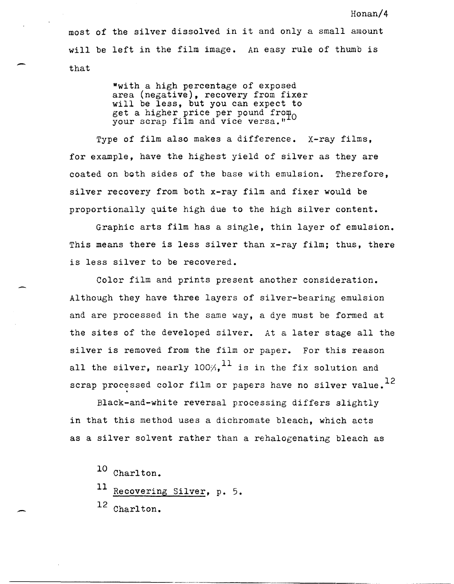most of the silver dissolved in it and only a small amount will be left in the film image. An easy rule of thumb is that

> "with a high percentage of exposed area (negative), recovery from fixer will be less, but you can expect to get a higher price per pound from  $\sim$ your scrap film and vice versa."

Type of film also makes a difference. X-ray films, for example, have the highest yield of silver as they are coated on both sides of the base with emulsion. Therefore, silver recovery from both x-ray film and fixer would be proportionally quite high due to the high silver content.

Graphic arts film has a single, thin layer of emulsion. This means there is less silver than x-ray film; thus, there is less silver to be recovered.

Color film and prints present another consideration. Although they have three layers of silver-bearing emulsion and are processed in the same way, a dye must be formed at the sites of the developed silver. At a later stage all the silver is removed from the film or paper. For this reason all the silver, nearly  $100\%$ ,  $^{11}$  is in the fix solution and scrap processed color film or papers have no silver value.<sup>12</sup>

Black-and-white reversal processing differs slightly in that this method uses a dichromate bleach, which acts as a silver solvent rather than a rehalogenating bleach as

10 Charlton.

 $11$  Recovering Silver, p. 5.

12 Charlton.

-

-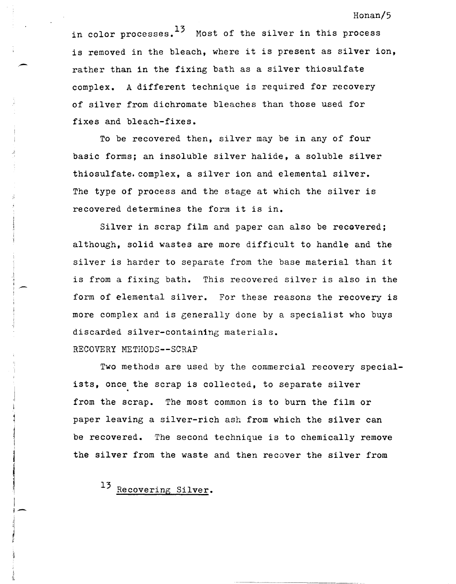in color processes.  $13$  Most of the silver in this process is removed in the bleach, where it is present as silver ion, rather than in the fixing bath as a silver thiosulfate complex. A different technique is required for recovery of silver from dichromate bleaches than those used for fixes and bleach-fixes.

To be recovered then, silver may be in any of four basic forms; an insoluble silver halide, a soluble silver thiosulfate. complex, a silver ion and elemental silver. The type of process and the stage at which the silver is recovered determines the form it is in.

Silver in scrap film and paper can also be recovered; although, solid wastes are more difficult to handle and the silver is harder to separate from the base material than it is from a fixing bath. This recovered silver is also in the form of elemental silver. For these reasons the recovery is more complex and is generally done by a specialist who buys discarded silver-containing materials.

# RECOVERY METHODS--SCRAP

 $\mathbf{r}$ j j,

!-

Two methods are used by the commercial recovery specialists, once the scrap is collected, to separate silver from the scrap. The most common is to burn the film or paper leaving a silver-rich ash from which the silver can be recovered. The second technique is to chemically remove the silver from the waste and then recover the silver from

13 Recovering Silver.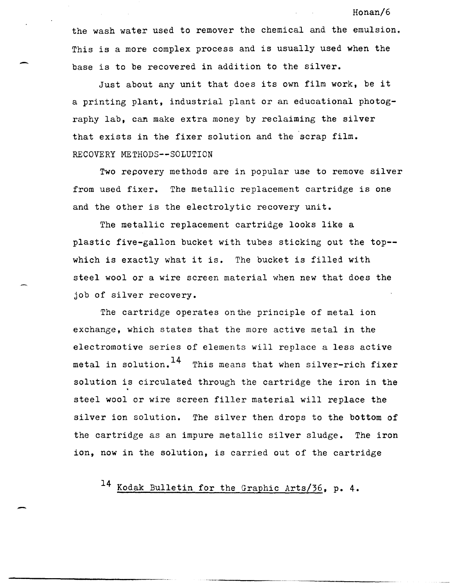the wash water used to remover the chemical and the emulsion. This is a more complex process and is usually used when the base is to be recovered in addition to the silver.

Just about any unit that does its own film work, be it a printing plant, industrial plant or an educational photography lab, can make extra money by reclaiming the silver that exists in the fixer solution and the scrap film. RECOVERY METHODS--SOLUTION

Two recovery methods are in popular use to remove silver from used fixer. The metallic replacement cartridge is one and the other is the electrolytic recovery unit.

The metallic replacement cartridge looks like a plastic five-gallon bucket with tubes sticking out the top-which is exactly what it is. The bucket is filled with steel wool or a wire screen material when new that does the job of silver recovery.

The cartridge operates onthe principle of metal ion exchange, which states that the more active metal in the electromotive series of elements will replace a less active metal in solution.  $14$  This means that when silver-rich fixer solution is circulated through the cartridge the iron in the steel wool or wire screen filler material will replace the silver ion solution. The silver then drops to the bottom of the cartridge as an impure metallic silver sludge. The iron ion, now in the solution, is carried out of the cartridge

14 Kodak Bulletin for the Graphic Arts/36, p. **4.** 

#### Honan/6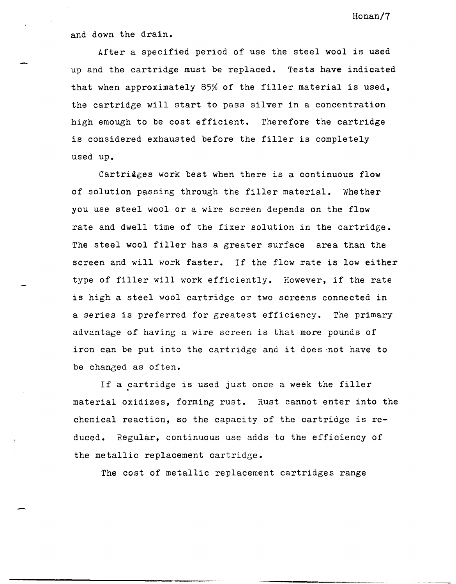and down the drain.

After a specified period of use the steel wool is used up and the cartridge must be replaced. Tests have indicated that when approximately 85% of the filler material is used, the cartridge will start to pass silver in a concentration high emough to be cost efficient. Therefore the cartridge is considered exhausted before the filler is completely used up.

Cartridges work best when there is a continuous flow of solution passing through the filler material. Whether you use steel wool or a wire screen depends on the flow rate and dwell time of the fixer solution in the cartridge. The steel wool filler has a greater surface area than the screen and will work faster. If the flow rate is low either type of filler will work efficiently. However, if the rate is high a steel wool cartridge or two screens connected in a series is preferred for greatest efficiency. The primary advantage of having a wire screen is that more pounds of iron can be put into the cartridge and it does not have to be changed as often.

If a cartridge is used just once a week the filler material oxidizes, forming rust. Rust cannot enter into the chemical reaction, so the capacity of the cartridge is reduced. Regular, continuous use adds to the efficiency of the metallic replacement cartridge.

The cost of metallic replacement cartridges range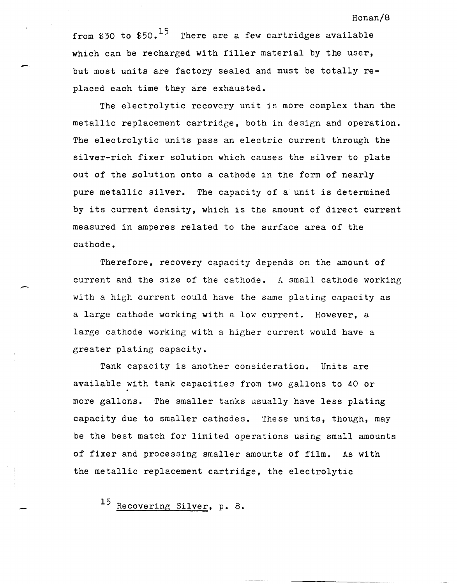from \$30 to  $$50.$ <sup>15</sup> There are a few cartridges available which can be recharged with filler material by the user, but most units are factory sealed and must be totally replaced each time they are exhausted.

The electrolytic recovery unit is more complex than the metallic replacement cartridge, both in design and operation. The electrolytic units pass an electric current through the silver-rich fixer solution which causes the silver to plate out of the solution onto a cathode in the form of nearly pure metallic silver. The capacity of a unit is determined by its current density, which is the amount of direct current measured in amperes related to the surface area of the cathode.

Therefore, recovery capacity depends on the amount of current and the size of the cathode. A small cathode working with a high current could have the same plating capacity as a large cathode working with a low current. However, a large cathode working with a higher current would have a greater plating capacity.

Tank capacity is another consideration. Units are available with tank capacities from two gallons to 40 or more gallons. The smaller tanks usually have less plating capacity due to smaller cathodes. These units, though, may be the best match for limited operations using small amounts of fixer and processing smaller amounts of film. As with the metallic replacement cartridge, the electrolytic

15 Recovering Silver, p. 8.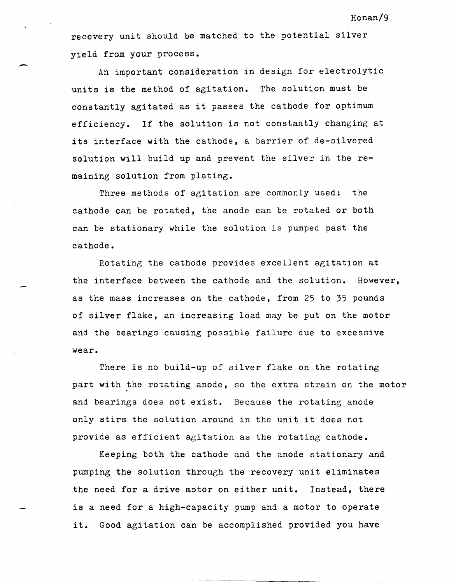recovery unit should be matched to the potential silver yield from your process.

An important consideration in design for electrolytic units is the method of agitation. The solution must be constantly agitated as it passes the cathode for optimum efficiency. If the solution is not constantly changing at its interface with the cathode, a barrier of de-silvered solution will build up and prevent the silver in the remaining solution from plating.

Three methods of agitation are commonly used: the cathode can be rotated, the anode can be rotated or both can be stationary while the solution is pumped past the cathode.

Rotating the cathode provides excellent agitation at the interface between the cathode and the solution. However, as the mass increases on the cathode, from 25 to 35 pounds of silver flake, an increasing load may be put on the motor and the bearings causing possible failure due to excessive wear.

There is no build-up of silver flake on the rotating part with the rotating anode, so the extra strain on the motor and bearings does not exist. Because the rotating anode only stirs the solution around in the unit it does not provide as efficient agitation as the rotating cathode.

Keeping both the cathode and the anode stationary and pumping the solution through the recovery unit eliminates the need for a drive motor on either unit. Instead, there is a need for a high-capacity pump and a motor to operate it. Good agitation can be accomplished provided you have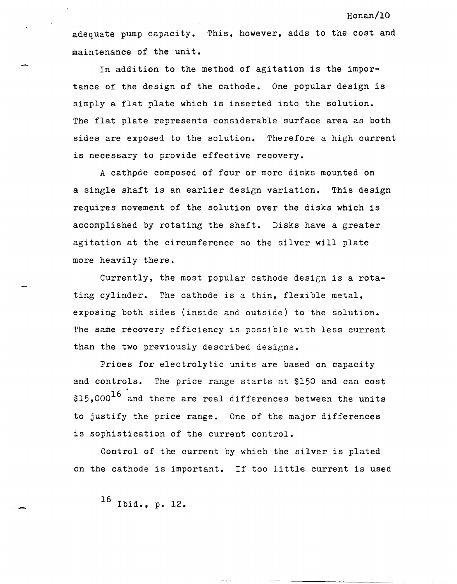adequate pump capacity. This, however, adds to the cost and maintenance of the unit.

In addition to the method of agitation is the importance of the design of the cathode. One popular design is simply a flat plate which is inserted into the solution. The flat plate represents considerable surface area as both sides are exposed to the solution. Therefore a high current is necessary to provide effective recovery.

A cathpde composed of four or more disks mounted on a single shaft is an earlier design variation. This design requires movement of the solution over the disks which is accomplished by rotating the shaft. Disks have a greater agitation at the circumference so the silver will plate more heavily there.

Currently, the most popular cathode design is a rotating cylinder. The cathode is a thin, flexible metal, exposing both sides (inside and outside) to the solution. The same recovery efficiency is possible with less current than the two previously described designs.

Prices for electrolytic units are based on capacity and controls. The price range starts at \$150 and can cost  $$15,000$ <sup>16</sup> and there are real differences between the units to justify the price range. One of the major differences is sophistication of the current control.

Control of the current by which the silver is plated on the cathode is important. If too little current is used

16 Ibid., p. 12.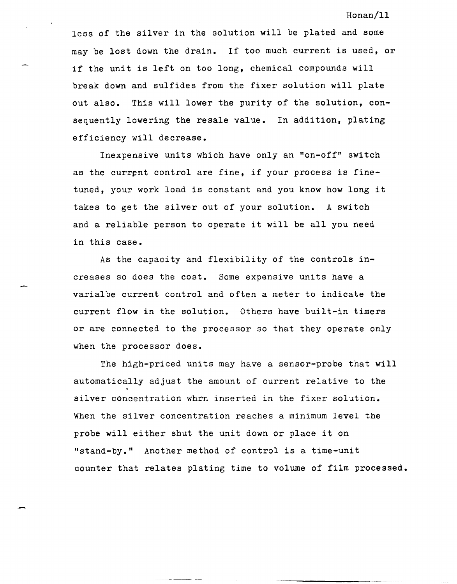Honan/ll

less of the silver in the solution will be plated and some may be lost down the drain. If too much current is used, or if the unit is left on too long, chemical compounds will break down and sulfides from the fixer solution will plate out also. This will lower the purity of the solution, consequently lowering the resale value. In addition, plating efficiency will decrease.

Inexpensive units which have only an "on-off" switch as the current control are fine, if your process is finetuned, your work load is constant and you know how long it takes to get the silver out of your solution. A switch and a reliable person to operate it will be all you need in this case.

As the capacity and flexibility of the controls increases so does the cost. Some expensive units have a varialbe current control and often a meter to indicate the current flow in the solution. Others have built-in timers or are connected to the processor so that they operate only when the processor does.

The high-priced units may have a sensor-probe that will automatically adjust the amount of current relative to the silver concentration whrn inserted in the fixer solution. When the silver concentration reaches a minimum level the probe will either shut the unit down or place it on "stand-by." Another method of control is a time-unit counter that relates plating time to volume of film processed.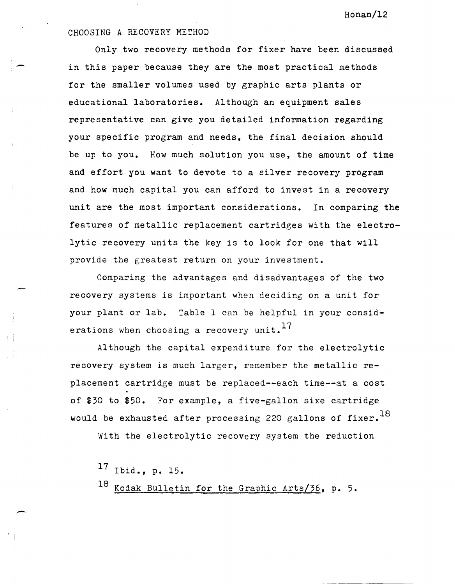# CHOOSING A RECOVERY METHOD

Only two recovery methods for fixer have been discussed in this paper because they are the most practical methods for the smaller volumes used by graphic arts plants or educational laboratories. Although an equipment sales representative can give you detailed information regarding your specific program and needs, the final decision should be up to you. How much solution you use, the amount of time and effort you want to devote to a silver recovery program and how much capital you can afford to invest in a recovery unit are the most important considerations. In comparing the features of metallic replacement cartridges with the electrolytic recovery units the key is to look for one that will provide the greatest return on your investment.

Comparing the advantages and disadvantages of the two recovery systems is important when deciding on a unit for your plant or lab. Table 1 can be helpful in your considerations when choosing a recovery unit.  $17$ 

Although the capital expenditure for the electrolytic recovery system is much larger, remember the metallic replacement cartridge must be replaced--each time--at a cost of \$30 to \$50. For example, a five-gallon sixe cartridge would be exhausted after processing 220 gallons of fixer.<sup>18</sup>

With the electrolytic recovery system the reduction

17 Ibid., p. 15. 18 Kodak Bulletin for the Graphic Arts/36, p. 5.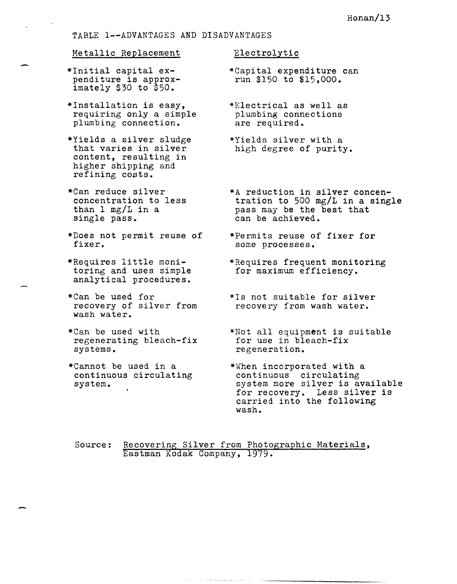## TABLE l--ADVANTAGES AND DISADVANTAGES

#### Metallic Replacement

- \*Initial capital eximately  $$30$  to  $$50.$
- \*1nstallation is easy, requiring only a simple plumbing connection.
- \*Yields a silver sludge that varies in silver content, resulting in higher shipping and refining costs.
- \*Can reduce silver concentration to less than 1 mg/L in a single pass.
- \*Does not permit reuse of fixer.
- \*Requires little monitoring and uses simple analytical procedures.
- \*Can be used for recovery of silver from wash water.
- \*Can be used with regenerating bleach-fix systems.
- \*Cannot be used in a continuous circulating system.

#### Electrolytic

- \*Capital expenditure can run \$150 to \$15,000.
- \*Electrical as well as plumbing connections are required.
- \*Yields silver with a high degree of purity.
- \*A reduction in silver concentration to 500 mg/L in a single pass may be the best that can be achieved.
- \*Permits reuse of fixer for some processes.
- \*Requires frequent monitoring for maximum efficiency.
- \*1s not suitable for silver recovery from wash water.
- \*Not all equipment is suitable for use in bleach-fix regeneration.
- \*When incorporated with a continuous circulating system more silver is available for recovery. Less silver is carried into the following wash.
- Source: Recovering Silver from Photographic Materials, Eastman Kodak Company, 1979.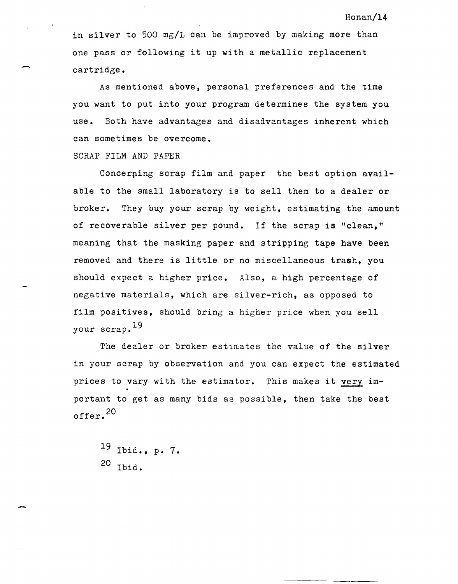in silver to 500 mg/L can be improved by making more than one pass or following it up with a metallic replacement cartridge.

As mentioned above, personal preferences and the time you want to put into your program determines the system you use. Both have advantages and disadvantages inherent which can sometimes be overcome.

SCRAP FILM AND PAPER

Concerping scrap film and paper the best option available to the small laboratory is to sell them to a dealer or broker. They buy your scrap by weight, estimating the amount of recoverable silver per pound. If the scrap is "clean," meaning that the masking paper and stripping tape have been removed and there is little or no miscellaneous trash, you should expect a higher price. Also, a high percentage of negative materials, which are silver-rich, as opposed to film positives, should bring a higher price when you sell your scrap.19

The dealer or broker estimates the value of the silver in your scrap by observation and you can expect the estimated prices to vary with the estimator. This makes it very important to get as many bids as possible, then take the best offer. <sup>20</sup>

19 Ibid., p. 7. 20 Ibid.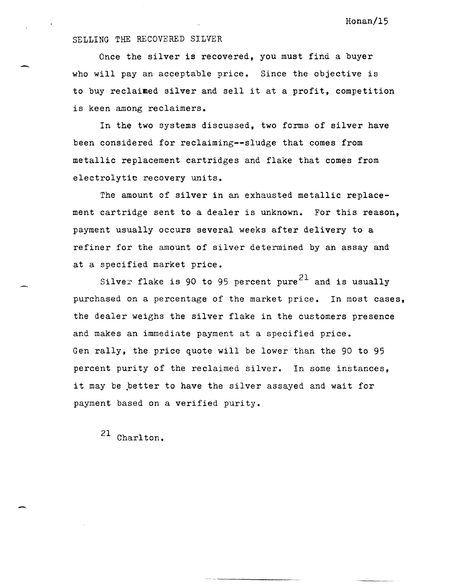## SELLING THE RECOVERED SILVER

-

-

Once the silver is recovered, you must find a buyer who will pay an acceptable price. Since the objective is to buy reclaimed silver and sell it at a profit, competition is keen among reclaimers.

In the two systems discussed, two forms of silver have been considered for reclaiming--sludge that comes from metallic replacement cartridges and flake that comes from electrolytic recovery units.

The amount of silver in an exhausted metallic replacement cartridge sent to a dealer is unknown. For this reason, payment usually occurs several weeks after delivery to a refiner for the amount of silver determined by an assay and at a specified market price.

Silver flake is 90 to 95 percent pure<sup>21</sup> and is usually purchased on a percentage of the market price. In most cases, the dealer weighs the silver flake in the customers presence and makes an immediate payment at a specified price. Gen rally, the price quote will be lower than the 90 to 95 percent purity of the reclaimed silver. In some instances, it may be better to have the silver assayed and wait for payment based on a verified purity.

21 Charlton.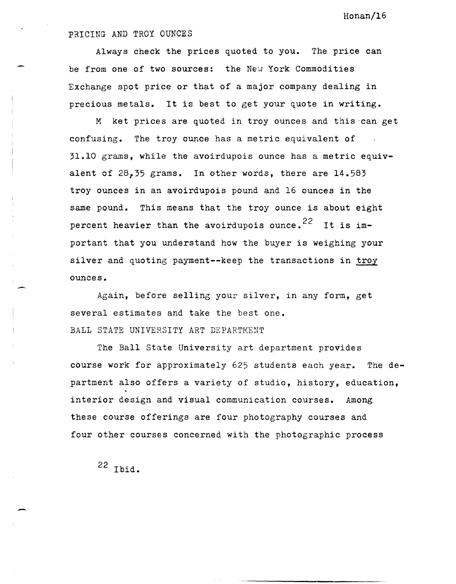## PRICING AND TROY OUNCES

Always check the prices quoted to you. The price can be from one of two sources: the New York Commodities Exchange spot price or that of a major company dealing in precious metals. It is best to get your quote in writing.

M ket prices are quoted in troy ounces and this-can get confusing. The troy ounce has a metric equivalent of 31.10 grams, while the avoirdupois ounce has a metric equivalent of 28,35 grams. In other words, there are 14.583 troy ounces in an avoirdupois pound and 16 ounces in the same pound. This means that the troy ounce is about eight percent heavier than the avoirdupois ounce.<sup>22</sup> It is important that you understand how the buyer is weighing your silver and quoting payment--keep the transactions in troy ounces.

Again, before selling your silver, in any form, get several estimates and take the best one. BALL STATE UNIVERSITY ART DEPARTMENT

The Ball State University art department provides course work for approximately 625 students each year. The department also offers a variety of studio, history, education, interior design and visual communication courses. Among these course offerings are four photography courses and four other courses concerned with the photographic process

22 Ibid.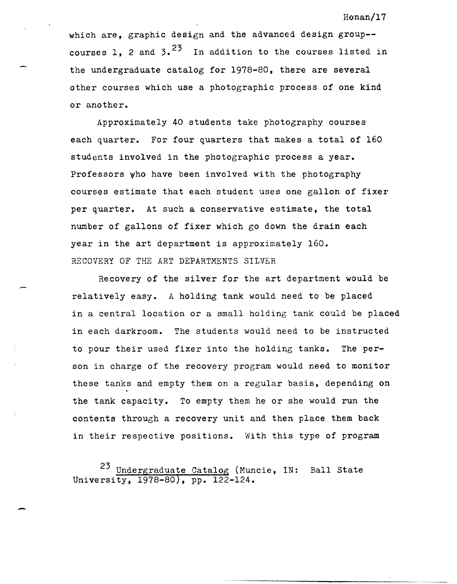which are, graphic design and the advanced design group-courses 1. 2 and  $3.2^3$  In addition to the courses listed in the undergraduate catalog for 1978-80, there are several other courses which use a photographic process of one kind or another.

Approximately 40 students take photography courses each quarter. For four quarters that makes a total of 160 students involved in the photographic process a year. Professors who have been involved with the photography courses estimate that each student uses one gallon of fixer per quarter. At such a conservative estimate, the total number of gallons of fixer which go down the drain each year in the art department is approximately 160. RECOVERY OF THE ART DEPARTMENTS SILVER

Recovery of the silver for the art department would be relatively easy. A holding tank would need to be placed in a central location or a small holding tank could be placed in each darkroom. The students would need to be instructed to pour their used fixer into the holding tanks. The person in charge of the recovery program would need to monitor these tanks and empty them on a regular basis, depending on .<br>the tank capacity. To empty them he or she would run the contents through a recovery unit and then place them back in their respective positions. With this type of program

23 Undergraduate Catalog (Muncie, IN: Ball State University, 1978-80), pp. 122-124.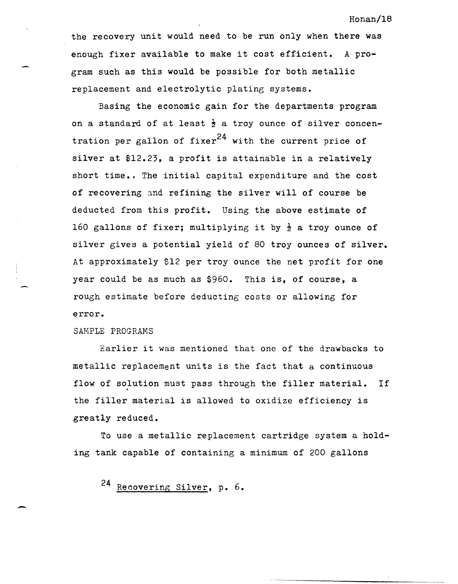the recovery unit would need to be run only when there was enough fixer available to make it cost efficient. A program such as this would be possible for both metallic replacement and electrolytic plating systems.

Basing the economic gain for the departments program on a standard of at least  $\frac{1}{2}$  a troy ounce of silver concentration per gallon of fixer<sup>24</sup> with the current price of silver at \$12.23, a profit is attainable in a relatively short time.. The initial capital expenditure and the cost of recovering and refining the silver will of course be deducted from this profit. Using the above estimate of 160 gallons of fixer; multiplying it by  $\frac{1}{2}$  a troy ounce of silver gives a potential yield of 80 troy ounces of silver. At approximately \$12 per troy ounce the net profit for one year could be as much as \$960. This is, of course, a rough estimate before deducting costs or allowing for error.

## SAHPLE PROGRAMS

-

Earlier it was mentioned that one of the drawbacks to metallic replacement units is the fact that a continuous flow of solution must pass through the filler material. If the filler material is allowed to oxidize efficiency is greatly reduced.

To use a metallic replacement cartridge system a holding tank capable of containing a minimum of 200 gallons

24 Recovering Silver. p. 6.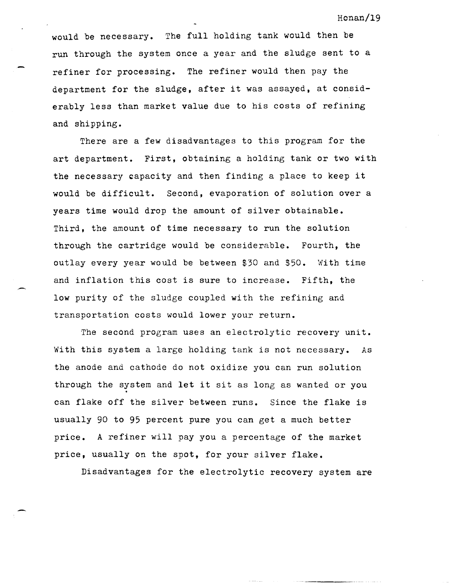would be necessary. The full holding tank would then be run through the system once a year and the sludge sent to a refiner for processing. The refiner would then pay the department for the sludge, after it was assayed, at considerably less than market value due to his costs of refining and shipping.

There are a few disadvantages to this program for the art department. First, obtaining a holding tank or two with the necessary capacity and then finding a place to keep it would be difficult. Second, evaporation of solution over a years time would drop the amount of silver obtainable. Third, the amount of time necessary to run the solution through the cartridge would be considerable. Fourth, the outlay every year would be between \$30 and \$50. With time and inflation this cost is sure to increase. Fifth, the low purity of the sludge coupled with the refining and transportation costs would lower your return.

The second program uses an electrolytic recovery unit. With this system a large holding tank is not necessary. As the anode and cathode do not oxidize you can run solution through the system and let it sit as long as wanted or you can flake off the silver between runs. Since the flake is usually 90 to 95 percent pure you can get a much better price. A refiner will pay you a percentage of the market price, usually on the spot, for your silver flake.

Disadvantages for the electrolytic recovery system are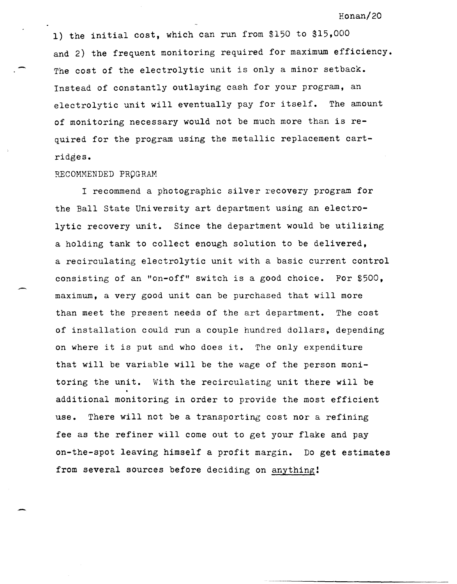1) the initial cost, which can run from \$150 to \$15,000 and 2) the frequent monitoring required for maximum efficiency. The cost of the electrolytic unit is only a minor setback. Instead of constantly outlaying cash for your program, an electrolytic unit will eventually pay for itself. The amount of monitoring necessary would not be much more than is required for the program using the metallic replacement cartridges.

### RECOMMENDED PROGRAM

I recommend a photographic silver recovery program for the Ball state University art department using an electrolytic recovery unit. Since the department would be utilizing a holding tank to collect enough solution to be delivered, a recirculating electrolytic unit with a basic current control consisting of an "on-off" switch is a good choice. For  $$500$ , maximum, a very good unit can be purchased that will more than meet the present needs of the art department. The cost of installation could run a couple hundred dollars, depending on where it is put and who does it. The only expenditure that will be variable will be the wage of the person monitoring the unit. With the recirculating unit there will be additional monitoring in order to provide the most efficient use. There will not be a transporting cost nor a refining fee as the refiner will come out to get your flake and pay on-the-spot leaving himself a profit margin. Do get estimates from several sources before deciding on anything!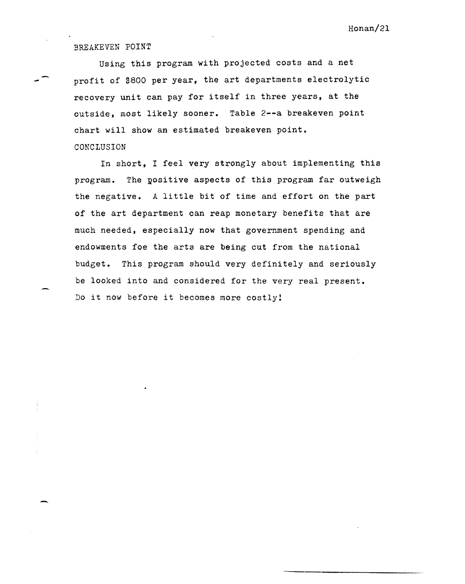# BREAKEVEN POINT

-

Using this program with projected costs and a net profit of \$800 per year, the art departments electrolytic recovery unit can pay for itself in three years, at the outside, most likely sooner. Table 2--a breakeven point chart will show an estimated breakeven point. CONCLUSION

In short, I feel very strongly about implementing this program. The yositive aspects of this program far outweigh the negative. A little bit of time and effort on the part of the art department can reap monetary benefits that are much needed, especially now that government spending and endowments foe the arts are being cut from the national budget. This program should very definitely and seriously be looked into and considered for the very real present. Do it now before it becomes more costly!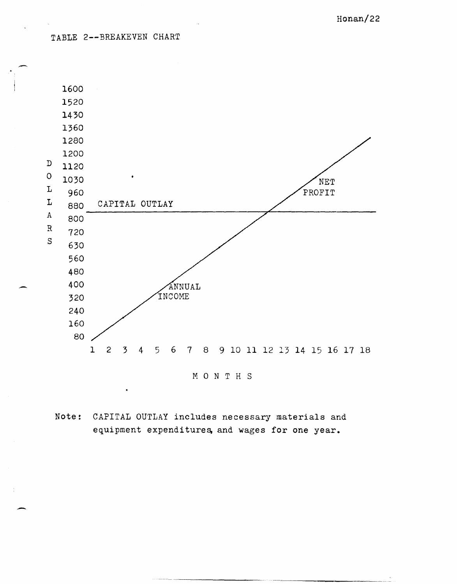TABLE 2--BREAKEVEN CHART

-



Note: CAPITAL OUTLAY includes necessary materials and equipment expenditures, and wages for one year.